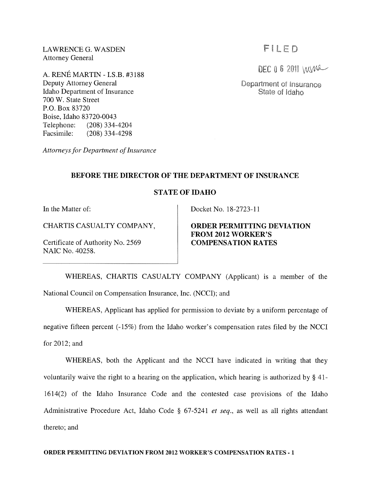LAWRENCE G. WASDEN Attorney General

A. RENE MARTIN - I.S.B. #3188 Deputy Attorney General Idaho Department of Insurance 700 W. State Street P.O. Box 83720 Boise, Idaho 83720-0043 Telephone: (208) 334-4204 Facsimile: (208) 334-4298

*Attorneys for Department of Insurance* 

## FILED

DEC 0 6 2011 WWA

Department of Insurance State of Idaho

### **BEFORE THE DIRECTOR OF THE DEPARTMENT OF INSURANCE**

### **STATE OF IDAHO**

Certificate of Authority No. 2569 **COMPENSATION RATES**  NAIC No. 40258.

In the Matter of: Docket No. 18-2723-11

# CHARTIS CASUALTY COMPANY, **ORDER PERMITTING DEVIATION FROM 2012 WORKER'S**

WHEREAS, CHARTIS CASUALTY COMPANY (Applicant) is a member of the National Council on Compensation Insurance, Inc. (NCCI); and

WHEREAS, Applicant has applied for permission to deviate by a uniform percentage of negative fifteen percent (-15%) from the Idaho worker's compensation rates filed by the NCCI for 2012; and

WHEREAS, both the Applicant and the NCCI have indicated in writing that they voluntarily waive the right to a hearing on the application, which hearing is authorized by § 41- 1614(2) of the Idaho Insurance Code and the contested case provisions of the Idaho Administrative Procedure Act, Idaho Code § 67-5241 *et seq.,* as well as all rights attendant thereto; and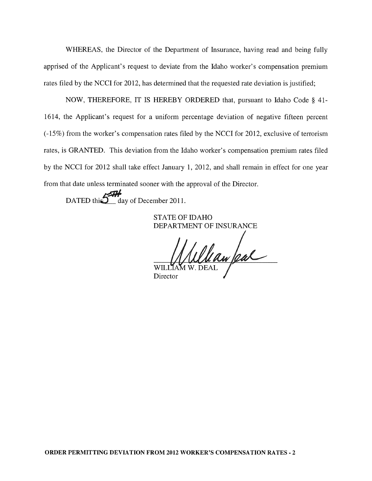WHEREAS, the Director of the Department of Insurance, having read and being fully apprised of the Applicant's request to deviate from the Idaho worker's compensation premium rates filed by the NCCI for 2012, has determined that the requested rate deviation is justified;

NOW, THEREFORE, IT IS HEREBY ORDERED that, pursuant to Idaho Code § 41- 1614, the Applicant's request for a uniform percentage deviation of negative fifteen percent (-15%) from the worker's compensation rates filed by the NCCI for 2012, exclusive of terrorism rates, is GRANTED. This deviation from the Idaho worker's compensation premium rates filed by the NCCI for 2012 shall take effect January 1, 2012, and shall remain in effect for one year from that date unless terminated sooner with the approval of the Director.

DATED this  $\sum$  day of December 2011.

STATE OF IDAHO DEPARTMENT OF INSURANCE

Whan feal **WIL** 

Director